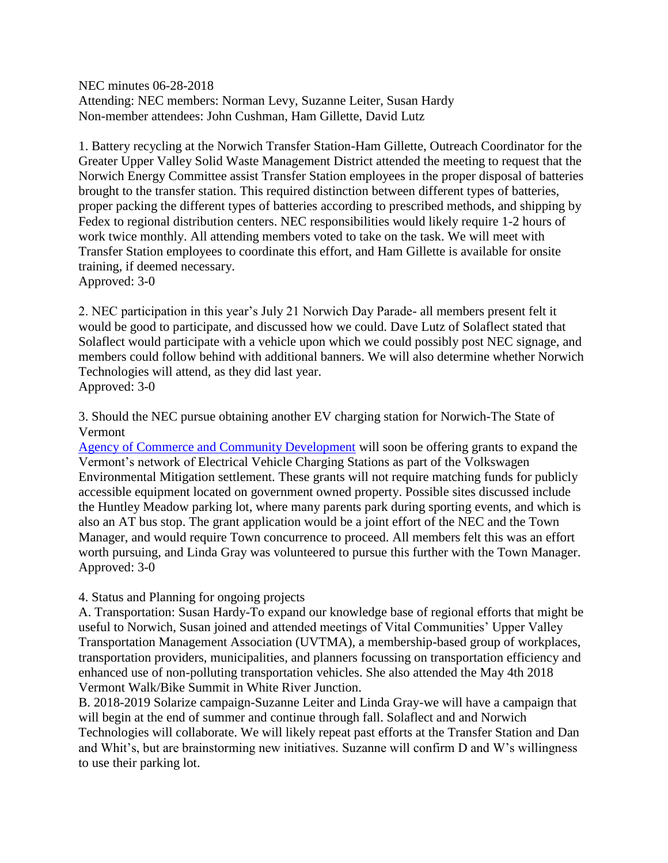NEC minutes 06-28-2018 Attending: NEC members: Norman Levy, Suzanne Leiter, Susan Hardy Non-member attendees: John Cushman, Ham Gillette, David Lutz

1. Battery recycling at the Norwich Transfer Station-Ham Gillette, Outreach Coordinator for the Greater Upper Valley Solid Waste Management District attended the meeting to request that the Norwich Energy Committee assist Transfer Station employees in the proper disposal of batteries brought to the transfer station. This required distinction between different types of batteries, proper packing the different types of batteries according to prescribed methods, and shipping by Fedex to regional distribution centers. NEC responsibilities would likely require 1-2 hours of work twice monthly. All attending members voted to take on the task. We will meet with Transfer Station employees to coordinate this effort, and Ham Gillette is available for onsite training, if deemed necessary. Approved: 3-0

2. NEC participation in this year's July 21 Norwich Day Parade- all members present felt it would be good to participate, and discussed how we could. Dave Lutz of Solaflect stated that Solaflect would participate with a vehicle upon which we could possibly post NEC signage, and members could follow behind with additional banners. We will also determine whether Norwich Technologies will attend, as they did last year. Approved: 3-0

3. Should the NEC pursue obtaining another EV charging station for Norwich-The State of Vermont

[Agency of Commerce and Community Development](http://accd.vermont.gov/) will soon be offering grants to expand the Vermont's network of Electrical Vehicle Charging Stations as part of the Volkswagen Environmental Mitigation settlement. These grants will not require matching funds for publicly accessible equipment located on government owned property. Possible sites discussed include the Huntley Meadow parking lot, where many parents park during sporting events, and which is also an AT bus stop. The grant application would be a joint effort of the NEC and the Town Manager, and would require Town concurrence to proceed. All members felt this was an effort worth pursuing, and Linda Gray was volunteered to pursue this further with the Town Manager. Approved: 3-0

4. Status and Planning for ongoing projects

A. Transportation: Susan Hardy-To expand our knowledge base of regional efforts that might be useful to Norwich, Susan joined and attended meetings of Vital Communities' Upper Valley Transportation Management Association (UVTMA), a membership-based group of workplaces, transportation providers, municipalities, and planners focussing on transportation efficiency and enhanced use of non-polluting transportation vehicles. She also attended the May 4th 2018 Vermont Walk/Bike Summit in White River Junction.

B. 2018-2019 Solarize campaign-Suzanne Leiter and Linda Gray-we will have a campaign that will begin at the end of summer and continue through fall. Solaflect and and Norwich Technologies will collaborate. We will likely repeat past efforts at the Transfer Station and Dan and Whit's, but are brainstorming new initiatives. Suzanne will confirm D and W's willingness to use their parking lot.